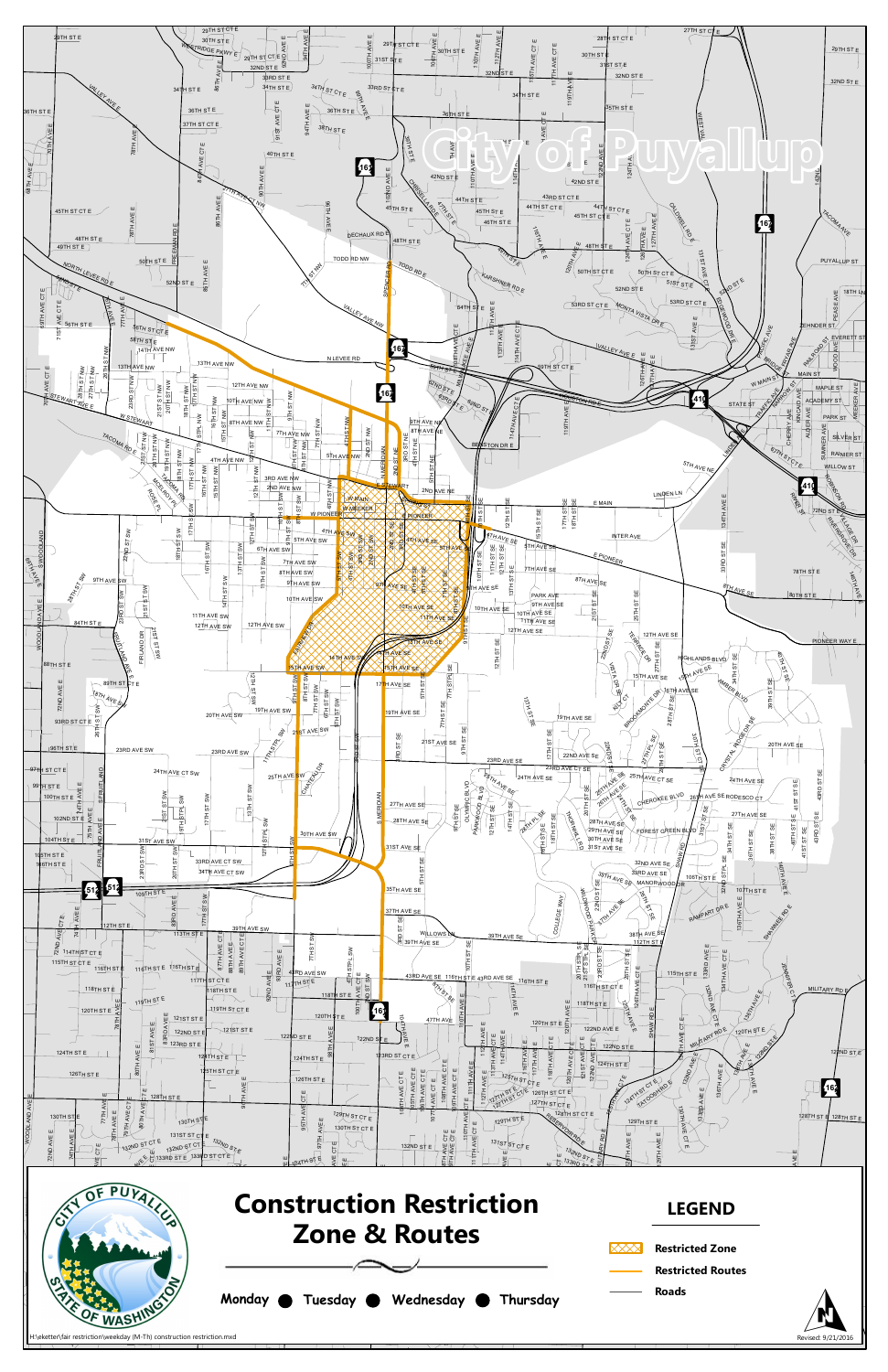